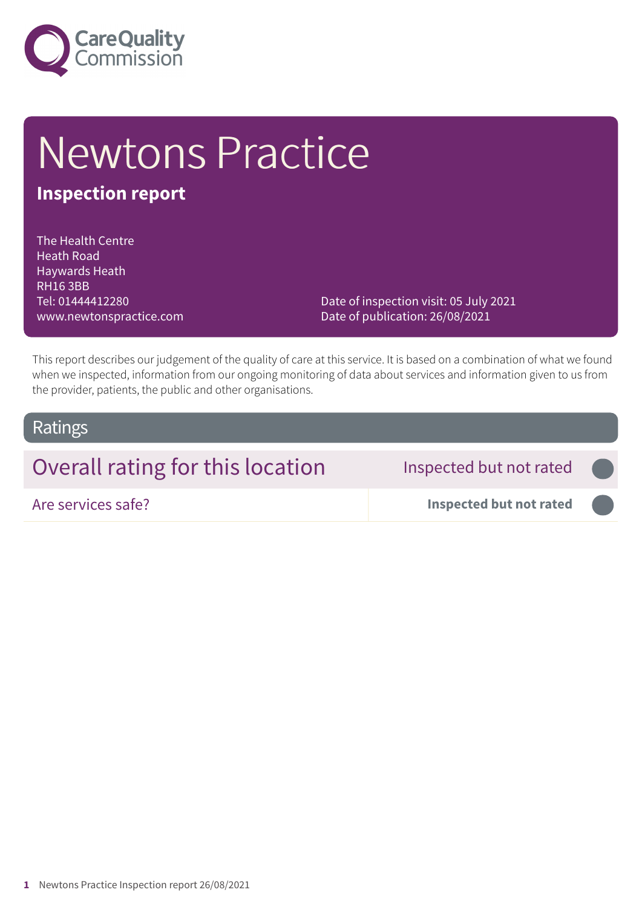

# Newtons Practice

### **Inspection report**

The Health Centre Heath Road Haywards Heath RH16 3BB Tel: 01444412280 www.newtonspractice.com

Date of inspection visit: 05 July 2021 Date of publication: 26/08/2021

This report describes our judgement of the quality of care at this service. It is based on a combination of what we found when we inspected, information from our ongoing monitoring of data about services and information given to us from the provider, patients, the public and other organisations.

#### Ratings

## Overall rating for this location **Inspected but not rated**

Are services safe? **Inspected but not rated –––**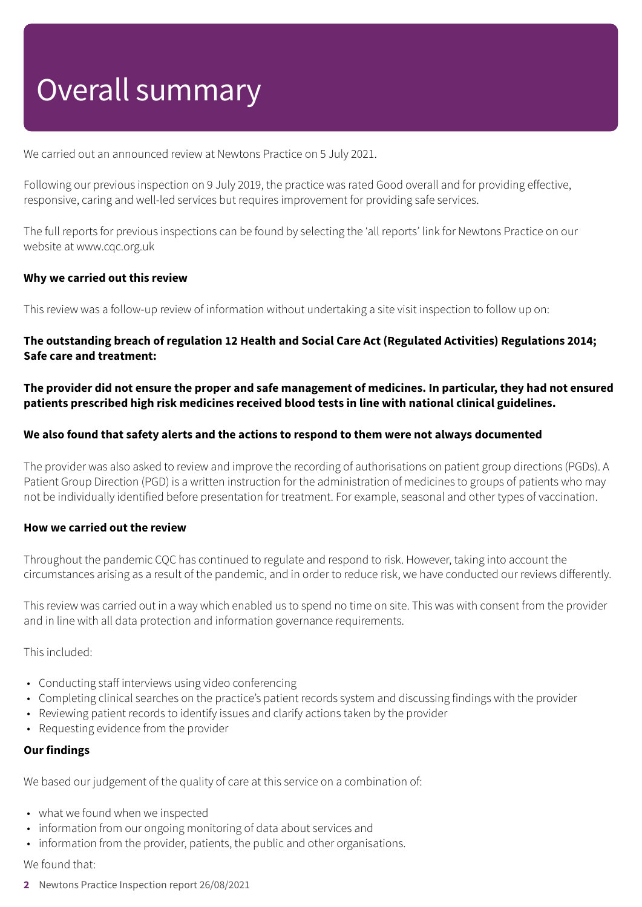## Overall summary

We carried out an announced review at Newtons Practice on 5 July 2021.

Following our previous inspection on 9 July 2019, the practice was rated Good overall and for providing effective, responsive, caring and well-led services but requires improvement for providing safe services.

The full reports for previous inspections can be found by selecting the 'all reports' link for Newtons Practice on our website at www.cqc.org.uk

#### **Why we carried out this review**

This review was a follow-up review of information without undertaking a site visit inspection to follow up on:

#### **The outstanding breach of regulation 12 Health and Social Care Act (Regulated Activities) Regulations 2014; Safe care and treatment:**

The provider did not ensure the proper and safe management of medicines. In particular, they had not ensured **patients prescribed high risk medicines received blood tests in line with national clinical guidelines.**

#### **We also found that safety alerts and the actions to respond to them were not always documented**

The provider was also asked to review and improve the recording of authorisations on patient group directions (PGDs). A Patient Group Direction (PGD) is a written instruction for the administration of medicines to groups of patients who may not be individually identified before presentation for treatment. For example, seasonal and other types of vaccination.

#### **How we carried out the review**

Throughout the pandemic CQC has continued to regulate and respond to risk. However, taking into account the circumstances arising as a result of the pandemic, and in order to reduce risk, we have conducted our reviews differently.

This review was carried out in a way which enabled us to spend no time on site. This was with consent from the provider and in line with all data protection and information governance requirements.

This included:

- Conducting staff interviews using video conferencing
- Completing clinical searches on the practice's patient records system and discussing findings with the provider
- Reviewing patient records to identify issues and clarify actions taken by the provider
- Requesting evidence from the provider

#### **Our findings**

We based our judgement of the quality of care at this service on a combination of:

- what we found when we inspected
- information from our ongoing monitoring of data about services and
- information from the provider, patients, the public and other organisations.

#### We found that:

**2** Newtons Practice Inspection report 26/08/2021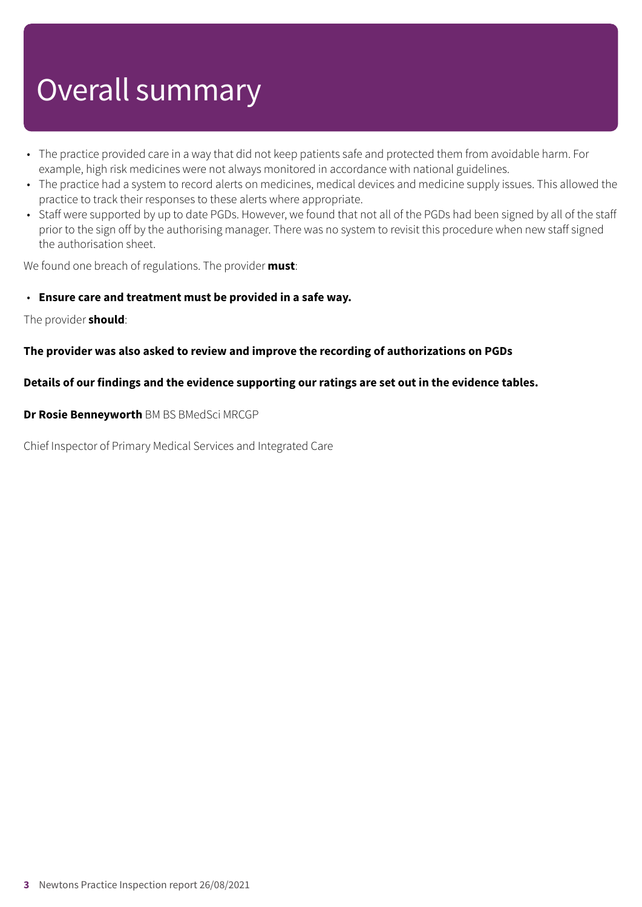## Overall summary

- The practice provided care in a way that did not keep patients safe and protected them from avoidable harm. For example, high risk medicines were not always monitored in accordance with national guidelines.
- The practice had a system to record alerts on medicines, medical devices and medicine supply issues. This allowed the practice to track their responses to these alerts where appropriate.
- Staff were supported by up to date PGDs. However, we found that not all of the PGDs had been signed by all of the staff prior to the sign off by the authorising manager. There was no system to revisit this procedure when new staff signed the authorisation sheet.

We found one breach of regulations. The provider **must**:

#### • **Ensure care and treatment must be provided in a safe way.**

The provider **should**:

#### **The provider was also asked to review and improve the recording of authorizations on PGDs**

#### **Details of our findings and the evidence supporting our ratings are set out in the evidence tables.**

**Dr Rosie Benneyworth** BM BS BMedSci MRCGP

Chief Inspector of Primary Medical Services and Integrated Care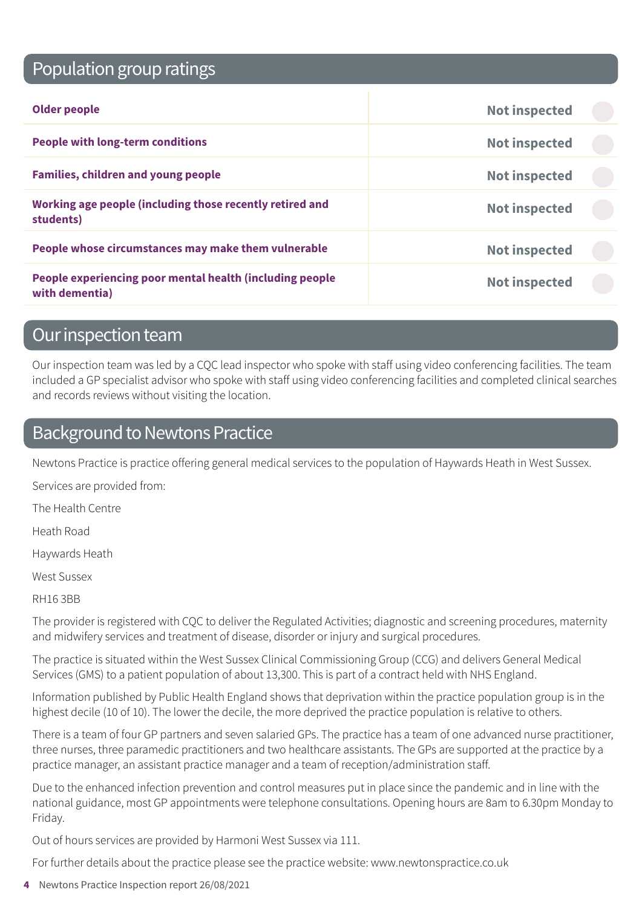## Population group ratings

| <b>Older people</b>                                                        | <b>Not inspected</b> |  |
|----------------------------------------------------------------------------|----------------------|--|
| <b>People with long-term conditions</b>                                    | <b>Not inspected</b> |  |
| <b>Families, children and young people</b>                                 | <b>Not inspected</b> |  |
| Working age people (including those recently retired and<br>students)      | <b>Not inspected</b> |  |
| People whose circumstances may make them vulnerable                        | <b>Not inspected</b> |  |
| People experiencing poor mental health (including people<br>with dementia) | <b>Not inspected</b> |  |

### Our inspection team

Our inspection team was led by a CQC lead inspector who spoke with staff using video conferencing facilities. The team included a GP specialist advisor who spoke with staff using video conferencing facilities and completed clinical searches and records reviews without visiting the location.

### Background to Newtons Practice

Newtons Practice is practice offering general medical services to the population of Haywards Heath in West Sussex.

Services are provided from:

The Health Centre

Heath Road

Haywards Heath

West Sussex

RH16 3BB

The provider is registered with CQC to deliver the Regulated Activities; diagnostic and screening procedures, maternity and midwifery services and treatment of disease, disorder or injury and surgical procedures.

The practice is situated within the West Sussex Clinical Commissioning Group (CCG) and delivers General Medical Services (GMS) to a patient population of about 13,300. This is part of a contract held with NHS England.

Information published by Public Health England shows that deprivation within the practice population group is in the highest decile (10 of 10). The lower the decile, the more deprived the practice population is relative to others.

There is a team of four GP partners and seven salaried GPs. The practice has a team of one advanced nurse practitioner, three nurses, three paramedic practitioners and two healthcare assistants. The GPs are supported at the practice by a practice manager, an assistant practice manager and a team of reception/administration staff.

Due to the enhanced infection prevention and control measures put in place since the pandemic and in line with the national guidance, most GP appointments were telephone consultations. Opening hours are 8am to 6.30pm Monday to Friday.

Out of hours services are provided by Harmoni West Sussex via 111.

For further details about the practice please see the practice website: www.newtonspractice.co.uk

**4** Newtons Practice Inspection report 26/08/2021